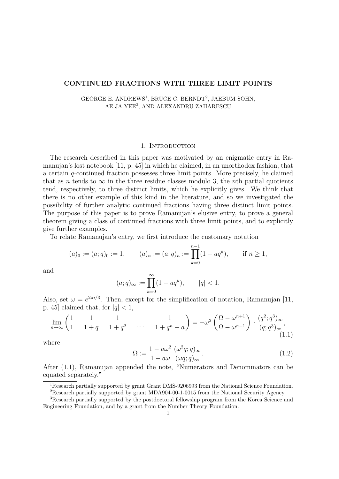## CONTINUED FRACTIONS WITH THREE LIMIT POINTS

# GEORGE E. ANDREWS<sup>1</sup>, BRUCE C. BERNDT<sup>2</sup>, JAEBUM SOHN, AE JA YEE<sup>3</sup> , AND ALEXANDRU ZAHARESCU

#### 1. INTRODUCTION

The research described in this paper was motivated by an enigmatic entry in Ramanujan's lost notebook [11, p. 45] in which he claimed, in an unorthodox fashion, that a certain q-continued fraction possesses three limit points. More precisely, he claimed that as n tends to  $\infty$  in the three residue classes modulo 3, the nth partial quotients tend, respectively, to three distinct limits, which he explicitly gives. We think that there is no other example of this kind in the literature, and so we investigated the possibility of further analytic continued fractions having three distinct limit points. The purpose of this paper is to prove Ramanujan's elusive entry, to prove a general theorem giving a class of continued fractions with three limit points, and to explicitly give further examples.

To relate Ramanujan's entry, we first introduce the customary notation

$$
(a)_0 := (a;q)_0 := 1, \qquad (a)_n := (a;q)_n := \prod_{k=0}^{n-1} (1 - aq^k), \qquad \text{if } n \ge 1,
$$

and

$$
(a;q)_{\infty} := \prod_{k=0}^{\infty} (1 - aq^k), \qquad |q| < 1.
$$

Also, set  $\omega = e^{2\pi i/3}$ . Then, except for the simplification of notation, Ramanujan [11, p. 45] claimed that, for  $|q| < 1$ ,

$$
\lim_{n \to \infty} \left( \frac{1}{1} - \frac{1}{1+q} - \frac{1}{1+q^2} - \dots - \frac{1}{1+q^n + a} \right) = -\omega^2 \left( \frac{\Omega - \omega^{n+1}}{\Omega - \omega^{n-1}} \right) \cdot \frac{(q^2; q^3)_{\infty}}{(q; q^3)_{\infty}},
$$
\n(1.1)

where

$$
\Omega := \frac{1 - a\omega^2}{1 - a\omega} \frac{(\omega^2 q; q)_{\infty}}{(\omega q; q)_{\infty}}.
$$
\n(1.2)

After (1.1), Ramanujan appended the note, "Numerators and Denominators can be equated separately."

<sup>&</sup>lt;sup>1</sup>Research partially supported by grant Grant DMS-9206993 from the National Science Foundation.

<sup>2</sup>Research partially supported by grant MDA904-00-1-0015 from the National Security Agency.

<sup>3</sup>Research partially supported by the postdoctoral fellowship program from the Korea Science and Engineering Foundation, and by a grant from the Number Theory Foundation.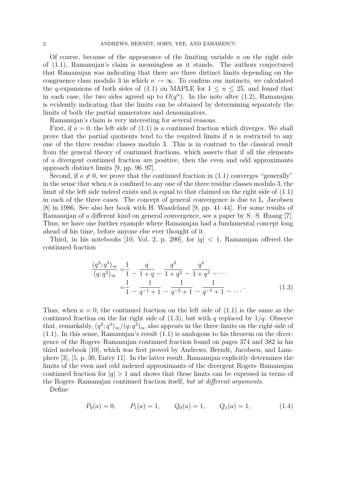Of course, because of the appearance of the limiting variable  $n$  on the right side of (1.1), Ramanujan's claim is meaningless as it stands. The authors conjectured that Ramanujan was indicating that there are three distinct limits depending on the congruence class modulo 3 in which  $n \to \infty$ . To confirm our instincts, we calculated the q-expansions of both sides of (1.1) on MAPLE for  $1 \leq n \leq 25$ , and found that in each case, the two sides agreed up to  $O(q^n)$ . In the note after (1.2), Ramanujan is evidently indicating that the limits can be obtained by determining separately the limits of both the partial numerators and denominators.

Ramanujan's claim is very interesting for several reasons.

First, if  $a = 0$ , the left side of  $(1.1)$  is a continued fraction which diverges. We shall prove that the partial quotients tend to the required limits if  $n$  is restricted to any one of the three residue classes modulo 3. This is in contrast to the classical result from the general theory of continued fractions, which asserts that if all the elements of a divergent continued fraction are positive, then the even and odd approximants approach distinct limits [9, pp. 96–97].

Second, if  $a \neq 0$ , we prove that the continued fraction in (1.1) converges "generally" in the sense that when  $n$  is confined to any one of the three residue classes modulo 3, the limit of the left side indeed exists and is equal to that claimed on the right side of (1.1) in each of the three cases. The concept of general convergence is due to L. Jacobsen [8] in 1986. See also her book with H. Waadeland [9, pp. 41–44]. For some results of Ramanujan of a different kind on general convergence, see a paper by S.–S. Huang [7]. Thus, we have one further example where Ramanujan had a fundamental concept long ahead of his time, before anyone else ever thought of it.

Third, in his notebooks [10, Vol. 2, p. 290], for  $|q| < 1$ , Ramanujan offered the continued fraction

$$
\frac{(q^2;q^3)_{\infty}}{(q;q^3)_{\infty}} = \frac{1}{1} - \frac{q}{1+q} - \frac{q^3}{1+q^2} - \frac{q^5}{1+q^3} - \cdots
$$

$$
= \frac{1}{1} - \frac{1}{q^{-1}+1} - \frac{1}{q^{-2}+1} - \frac{1}{q^{-3}+1} - \cdots
$$
(1.3)

Thus, when  $a = 0$ , the continued fraction on the left side of  $(1.1)$  is the same as the continued fraction on the far right side of  $(1.3)$ , but with q replaced by  $1/q$ . Observe that, remarkably,  $(q^2; q^3)_{\infty}/(q; q^3)_{\infty}$  also appears in the three limits on the right side of (1.1). In this sense, Ramanujan's result (1.1) is analogous to his theorem on the divergence of the Rogers–Ramanujan continued fraction found on pages 374 and 382 in his third notebook [10], which was first proved by Andrews, Berndt, Jacobsen, and Lamphere [3], [5, p. 30, Entry 11]. In the latter result, Ramanujan explicitly determines the limits of the even and odd indexed approximants of the divergent Rogers–Ramanujan continued fraction for  $|q| > 1$  and shows that these limits can be expessed in terms of the Rogers–Ramanujan continued fraction itself, but at different arguments.

Define

$$
P_0(a) = 0,
$$
  $P_1(a) = 1,$   $Q_0(a) = 1,$   $Q_1(a) = 1,$   $(1.4)$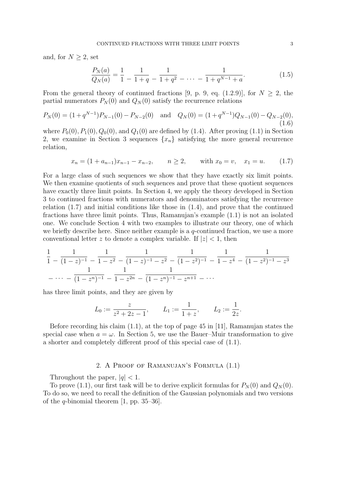and, for  $N \geq 2$ , set

$$
\frac{P_N(a)}{Q_N(a)} = \frac{1}{1} - \frac{1}{1+q} - \frac{1}{1+q^2} - \dots - \frac{1}{1+q^{N-1}+a}.\tag{1.5}
$$

From the general theory of continued fractions [9, p. 9, eq. (1.2.9)], for  $N \geq 2$ , the partial numerators  $P_N(0)$  and  $Q_N(0)$  satisfy the recurrence relations

$$
P_N(0) = (1 + q^{N-1})P_{N-1}(0) - P_{N-2}(0) \text{ and } Q_N(0) = (1 + q^{N-1})Q_{N-1}(0) - Q_{N-2}(0),
$$
\n(1.6)

where  $P_0(0)$ ,  $P_1(0)$ ,  $Q_0(0)$ , and  $Q_1(0)$  are defined by (1.4). After proving (1.1) in Section 2, we examine in Section 3 sequences  $\{x_n\}$  satisfying the more general recurrence relation,

$$
x_n = (1 + a_{n-1})x_{n-1} - x_{n-2}, \qquad n \ge 2, \qquad \text{with } x_0 = v, \quad x_1 = u. \tag{1.7}
$$

For a large class of such sequences we show that they have exactly six limit points. We then examine quotients of such sequences and prove that these quotient sequences have exactly three limit points. In Section 4, we apply the theory developed in Section 3 to continued fractions with numerators and denominators satisfying the recurrence relation (1.7) and initial conditions like those in (1.4), and prove that the continued fractions have three limit points. Thus, Ramanujan's example (1.1) is not an isolated one. We conclude Section 4 with two examples to illustrate our theory, one of which we briefly describe here. Since neither example is a q-continued fraction, we use a more conventional letter z to denote a complex variable. If  $|z| < 1$ , then

$$
\frac{1}{1} - \frac{1}{(1-z)^{-1}} - \frac{1}{1-z^2} - \frac{1}{(1-z)^{-1} - z^2} - \frac{1}{(1-z^2)^{-1}} - \frac{1}{1-z^4} - \frac{1}{(1-z^2)^{-1} - z^3}
$$
\n
$$
-\cdots - \frac{1}{(1-z^n)^{-1}} - \frac{1}{1-z^{2n}} - \frac{1}{(1-z^n)^{-1} - z^{n+1}} - \cdots
$$

has three limit points, and they are given by

$$
L_0:=\frac{z}{z^2+2z-1},\qquad L_1:=\frac{1}{1+z},\qquad L_2:=\frac{1}{2z}.
$$

Before recording his claim (1.1), at the top of page 45 in [11], Ramanujan states the special case when  $a = \omega$ . In Section 5, we use the Bauer–Muir transformation to give a shorter and completely different proof of this special case of (1.1).

# 2. A Proof of Ramanujan's Formula (1.1)

Throughout the paper,  $|q|$  < 1.

To prove (1.1), our first task will be to derive explicit formulas for  $P_N(0)$  and  $Q_N(0)$ . To do so, we need to recall the definition of the Gaussian polynomials and two versions of the *q*-binomial theorem [1, pp. 35–36].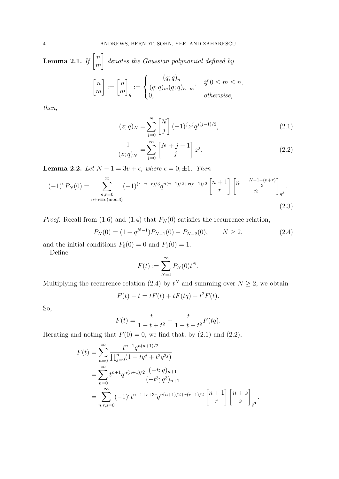Lemma 2.1. If  $\begin{bmatrix} n \ m \end{bmatrix}$ m 1 denotes the Gaussian polynomial defined by  $\lceil n$ m  $] := [$ n 1  $\sqrt{ }$  $\int$  $(q;q)_n$  $, \quad \text{if } 0 \leq m \leq n,$ 

$$
\bigg] := \begin{bmatrix} n \\ m \end{bmatrix}_q := \begin{cases} \frac{(1)^n 1/n}{(q;q)_m (q;q)_{n-m}}, & \text{if } 0 \leq m \leq n \\ 0, & \text{otherwise,} \end{cases}
$$

then,

$$
(z;q)_N = \sum_{j=0}^N \begin{bmatrix} N \\ j \end{bmatrix} (-1)^j z^j q^{j(j-1)/2}, \tag{2.1}
$$

$$
\frac{1}{(z;q)_N} = \sum_{j=0}^{\infty} \begin{bmatrix} N+j-1 \ j \end{bmatrix} z^j.
$$
\n(2.2)

Lemma 2.2. Let  $N - 1 = 3v + \epsilon$ , where  $\epsilon = 0, \pm 1$ . Then

$$
(-1)^{v}P_{N}(0) = \sum_{\substack{n,r=0 \ n+r \equiv \epsilon \pmod{3}}}^{\infty} (-1)^{(\epsilon-n-r)/3} q^{n(n+1)/2+r(r-1)/2} \begin{bmatrix} n+1 \ r \end{bmatrix} \begin{bmatrix} n+\frac{N-1-(n+r)}{3} \end{bmatrix}_{q^{3}}.
$$
\n(2.3)

*Proof.* Recall from (1.6) and (1.4) that  $P_N(0)$  satisfies the recurrence relation,

$$
P_N(0) = (1 + q^{N-1})P_{N-1}(0) - P_{N-2}(0), \qquad N \ge 2,
$$
\n(2.4)

and the initial conditions  $P_0(0) = 0$  and  $P_1(0) = 1$ .

Define

$$
F(t) := \sum_{N=1}^{\infty} P_N(0) t^N.
$$

Multiplying the recurrence relation (2.4) by  $t^N$  and summing over  $N \geq 2$ , we obtain

$$
F(t) - t = tF(t) + tF(tq) - t^2F(t).
$$

So,

$$
F(t) = \frac{t}{1 - t + t^2} + \frac{t}{1 - t + t^2} F(tq).
$$

Iterating and noting that  $F(0) = 0$ , we find that, by (2.1) and (2.2),

$$
F(t) = \sum_{n=0}^{\infty} \frac{t^{n+1} q^{n(n+1)/2}}{\prod_{j=0}^{n} (1 - tq^j + t^2 q^{2j})}
$$
  
= 
$$
\sum_{n=0}^{\infty} t^{n+1} q^{n(n+1)/2} \frac{(-t;q)_{n+1}}{(-t^3;q^3)_{n+1}}
$$
  
= 
$$
\sum_{n,r,s=0}^{\infty} (-1)^s t^{n+1+r+3s} q^{n(n+1)/2+r(r-1)/2} \begin{bmatrix} n+1 \ r \end{bmatrix} \begin{bmatrix} n+s \ s \end{bmatrix}_{q^3}.
$$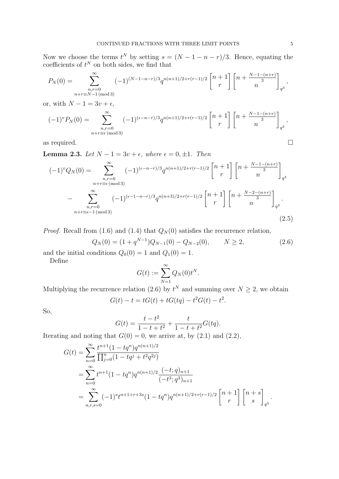Now we choose the terms  $t^N$  by setting  $s = (N - 1 - n - r)/3$ . Hence, equating the coefficients of  $t^N$  on both sides, we find that

$$
P_N(0) = \sum_{\substack{n,r=0 \ n+r \equiv N-1 \pmod{3}}}^{\infty} (-1)^{(N-1-n-r)/3} q^{n(n+1)/2+r(r-1)/2} \begin{bmatrix} n+1 \ r \end{bmatrix} \begin{bmatrix} n+\frac{N-1-(n+r)}{3} \end{bmatrix}_{q^3},
$$

or, with  $N - 1 = 3v + \epsilon$ ,

$$
(-1)^{v} P_{N}(0) = \sum_{\substack{n,r=0 \ n+r \equiv \epsilon \pmod{3}}}^{\infty} (-1)^{(\epsilon-n-r)/3} q^{n(n+1)/2+r(r-1)/2} \begin{bmatrix} n+1 \ r \end{bmatrix} \begin{bmatrix} n+\frac{N-1-(n+r)}{3} \end{bmatrix}_{q^{3}},
$$

as required.  $\Box$ 

**Lemma 2.3.** Let  $N - 1 = 3v + \epsilon$ , where  $\epsilon = 0, \pm 1$ . Then

$$
(-1)^{v}Q_{N}(0) = \sum_{\substack{n,r=0 \ n+r \equiv \epsilon \pmod{3} \\ n,r \equiv 0}}^{\infty} (-1)^{(\epsilon-n-r)/3} q^{n(n+1)/2+r(r-1)/2} \begin{bmatrix} n+1 \\ r \end{bmatrix} \begin{bmatrix} n+\frac{N-1-(n+r)}{3} \\ n \end{bmatrix}_{q^{3}}
$$

$$
-\sum_{\substack{n,r=0 \ n+r \equiv \epsilon-1 \pmod{3} \\ n+r \equiv \epsilon-1 \pmod{3}}}^{\infty} (-1)^{(\epsilon-1-n-r)/3} q^{n(n+3)/2+r(r-1)/2} \begin{bmatrix} n+1 \\ r \end{bmatrix} \begin{bmatrix} n+\frac{N-2-(n+r)}{3} \\ n \end{bmatrix}_{q^{3}}.
$$
(2.5)

*Proof.* Recall from (1.6) and (1.4) that  $Q_N(0)$  satisfies the recurrence relation,

$$
Q_N(0) = (1 + q^{N-1})Q_{N-1}(0) - Q_{N-2}(0), \qquad N \ge 2,
$$
\n(2.6)

and the initial conditions  $Q_0(0) = 1$  and  $Q_1(0) = 1$ .

Define

$$
G(t) := \sum_{N=1}^{\infty} Q_N(0) t^N.
$$

Multiplying the recurrence relation (2.6) by  $t^N$  and summing over  $N \geq 2$ , we obtain  $G(t) - t = tG(t) + tG(tq) - t^2G(t) - t^2.$ 

So,

$$
G(t) = \frac{t - t^2}{1 - t + t^2} + \frac{t}{1 - t + t^2} G(tq).
$$

Iterating and noting that  $G(0) = 0$ , we arrive at, by  $(2.1)$  and  $(2.2)$ ,

$$
G(t) = \sum_{n=0}^{\infty} \frac{t^{n+1} (1 - t q^n) q^{n(n+1)/2}}{\prod_{j=0}^{n} (1 - t q^j + t^2 q^{2j})}
$$
  
= 
$$
\sum_{n=0}^{\infty} t^{n+1} (1 - t q^n) q^{n(n+1)/2} \frac{(-t; q)_{n+1}}{(-t^3; q^3)_{n+1}}
$$
  
= 
$$
\sum_{n,r,s=0}^{\infty} (-1)^s t^{n+1+r+3s} (1 - t q^n) q^{n(n+1)/2+r(r-1)/2} \begin{bmatrix} n+1 \ r \end{bmatrix} \begin{bmatrix} n+s \ s \end{bmatrix}_{q^3}.
$$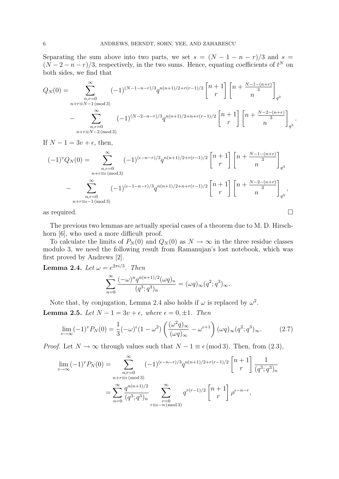Separating the sum above into two parts, we set  $s = (N - 1 - n - r)/3$  and  $s =$  $(N-2-n-r)/3$ , respectively, in the two sums. Hence, equating coefficients of  $t^N$  on both sides, we find that

$$
Q_N(0) = \sum_{\substack{n,r=0 \ n+r \equiv N-1 \pmod{3}}}^{\infty} (-1)^{(N-1-n-r)/3} q^{n(n+1)/2+r(r-1)/2} \begin{bmatrix} n+1 \ r \end{bmatrix} \begin{bmatrix} n+\frac{N-1-(n+r)}{3} \end{bmatrix}_{q^3}
$$

$$
- \sum_{\substack{n,r=0 \ n+r \equiv N-2 \pmod{3}}}^{\infty} (-1)^{(N-2-n-r)/3} q^{n(n+1)/2+n+r(r-1)/2} \begin{bmatrix} n+1 \ r \end{bmatrix} \begin{bmatrix} n+\frac{N-2-(n+r)}{3} \end{bmatrix}_{q^3}.
$$

If  $N - 1 = 3v + \epsilon$ , then,

$$
(-1)^{v}Q_{N}(0) = \sum_{\substack{n,r=0 \ n+r \equiv \epsilon \pmod{3}}}^{\infty} (-1)^{(\epsilon-n-r)/3} q^{n(n+1)/2+r(r-1)/2} \begin{bmatrix} n+1 \ r \end{bmatrix} \begin{bmatrix} n+\frac{N-1-(n+r)}{3} \end{bmatrix}_{q^{3}}
$$

$$
-\sum_{\substack{n,r=0 \ n+r \equiv \epsilon-1 \pmod{3}}}^{\infty} (-1)^{(\epsilon-1-n-r)/3} q^{n(n+1)/2+n+r(r-1)/2} \begin{bmatrix} n+1 \ r \end{bmatrix} \begin{bmatrix} n+\frac{N-2-(n+r)}{3} \end{bmatrix}_{q^{3}},
$$

as required.  $\square$ 

The previous two lemmas are actually special cases of a theorem due to M. D. Hirschhorn [6], who used a more difficult proof.

To calculate the limits of  $P_N(0)$  and  $Q_N(0)$  as  $N \to \infty$  in the three residue classes modulo 3, we need the following result from Ramanujan's lost notebook, which was first proved by Andrews [2].

**Lemma 2.4.** Let  $\omega = e^{2\pi i/3}$ . Then  $\sum^{\infty}$  $(-\omega)^n q^{n(n+1)/2} (\omega q)_n$  $= (\omega q)_{\infty} (q^2; q^3)_{\infty}.$ 

Note that, by conjugation, Lemma 2.4 also holds if 
$$
\omega
$$
 is replaced by  $\omega$   
**Lemma 2.5.** Let  $N - 1 = 3v + \epsilon$ , where  $\epsilon = 0, \pm 1$ . Then

 $(q^3;q^3)_n$ 

$$
\lim_{\nu \to \infty} (-1)^{\nu} P_N(0) = \frac{1}{3} (-\omega)^{\epsilon} (1 - \omega^2) \left( \frac{(\omega^2 q)_{\infty}}{(\omega q)_{\infty}} - \omega^{\epsilon+1} \right) (\omega q)_{\infty} (q^2; q^3)_{\infty}.
$$
 (2.7)

2 .

*Proof.* Let  $N \to \infty$  through values such that  $N - 1 \equiv \epsilon \pmod{3}$ . Then, from (2.3),

$$
\lim_{v \to \infty} (-1)^v P_N(0) = \sum_{\substack{n,r=0 \ n+r \equiv \epsilon \pmod{3} \\ n=0}}^{\infty} (-1)^{(\epsilon - n - r)/3} q^{n(n+1)/2 + r(r-1)/2} \begin{bmatrix} n+1 \\ r \end{bmatrix} \frac{1}{(q^3;q^3)_n}
$$

$$
= \sum_{n=0}^{\infty} \frac{q^{n(n+1)/2}}{(q^3;q^3)_n} \sum_{\substack{r=0 \ r \equiv \epsilon - n \pmod{3}}}^{\infty} q^{r(r-1)/2} \begin{bmatrix} n+1 \\ r \end{bmatrix} \rho^{\epsilon - n - r},
$$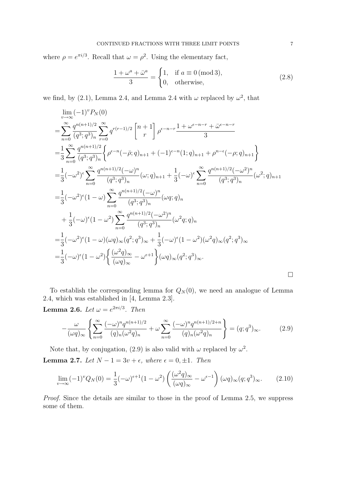where  $\rho = e^{\pi i/3}$ . Recall that  $\omega = \rho^2$ . Using the elementary fact,

$$
\frac{1+\omega^a+\bar{\omega}^a}{3} = \begin{cases} 1, & \text{if } a \equiv 0 \text{ (mod 3)}, \\ 0, & \text{otherwise}, \end{cases}
$$
 (2.8)

we find, by (2.1), Lemma 2.4, and Lemma 2.4 with  $\omega$  replaced by  $\omega^2$ , that

$$
\lim_{v \to \infty} (-1)^{v} P_{N}(0)
$$
\n
$$
= \sum_{n=0}^{\infty} \frac{q^{n(n+1)/2}}{(q^{3}; q^{3})_{n}} \sum_{r=0}^{\infty} q^{r(r-1)/2} \begin{bmatrix} n+1 \\ r \end{bmatrix} \rho^{\epsilon-n-r} \frac{1 + \omega^{\epsilon-n-r} + \bar{\omega}^{\epsilon-n-r}}{3}
$$
\n
$$
= \frac{1}{3} \sum_{n=0}^{\infty} \frac{q^{n(n+1)/2}}{(q^{3}; q^{3})_{n}} \Big\{ \rho^{\epsilon-n} (-\bar{\rho}; q)_{n+1} + (-1)^{\epsilon-n} (1; q)_{n+1} + \rho^{n-\epsilon} (-\rho; q)_{n+1} \Big\}
$$
\n
$$
= \frac{1}{3} (-\omega^{2})^{\epsilon} \sum_{n=0}^{\infty} \frac{q^{n(n+1)/2} (-\omega)^{n}}{(q^{3}; q^{3})_{n}} (\omega; q)_{n+1} + \frac{1}{3} (-\omega)^{\epsilon} \sum_{n=0}^{\infty} \frac{q^{n(n+1)/2} (-\omega^{2})^{n}}{(q^{3}; q^{3})_{n}} (\omega^{2}; q)_{n+1}
$$
\n
$$
= \frac{1}{3} (-\omega^{2})^{\epsilon} (1 - \omega) \sum_{n=0}^{\infty} \frac{q^{n(n+1)/2} (-\omega)^{n}}{(q^{3}; q^{3})_{n}} (\omega q; q)_{n}
$$
\n
$$
+ \frac{1}{3} (-\omega)^{\epsilon} (1 - \omega^{2}) \sum_{n=0}^{\infty} \frac{q^{n(n+1)/2} (-\omega^{2})^{n}}{(q^{3}; q^{3})_{n}} (\omega^{2} q; q)_{n}
$$
\n
$$
= \frac{1}{3} (-\omega^{2})^{\epsilon} (1 - \omega) (\omega q)_{\infty} (q^{2}; q^{3})_{\infty} + \frac{1}{3} (-\omega)^{\epsilon} (1 - \omega^{2}) (\omega^{2} q)_{\infty} (q^{2}; q^{3})_{\infty}
$$
\n
$$
= \frac{1}{3} (-\omega)^{\epsilon} (1 - \omega^{2}) \left\{ \frac{(\omega^{2} q)_{\infty}}{(\omega q)_{\infty}} - \omega^{\epsilon+1
$$

To establish the corresponding lemma for  $Q_N(0)$ , we need an analogue of Lemma 2.4, which was established in [4, Lemma 2.3].

**Lemma 2.6.** Let  $\omega = e^{2\pi i/3}$ . Then

$$
-\frac{\omega}{(\omega q)_{\infty}}\left\{\sum_{n=0}^{\infty}\frac{(-\omega)^n q^{n(n+1)/2}}{(q)_n(\omega^2 q)_n} + \omega \sum_{n=0}^{\infty}\frac{(-\omega)^n q^{n(n+1)/2+n}}{(q)_n(\omega^2 q)_n}\right\} = (q;q^3)_{\infty}.
$$
 (2.9)

Note that, by conjugation, (2.9) is also valid with  $\omega$  replaced by  $\omega^2$ . Lemma 2.7. Let  $N - 1 = 3v + \epsilon$ , where  $\epsilon = 0, \pm 1$ . Then

$$
\lim_{\nu \to \infty} (-1)^{\nu} Q_N(0) = \frac{1}{3} (-\omega)^{\epsilon+1} (1 - \omega^2) \left( \frac{(\omega^2 q)_{\infty}}{(\omega q)_{\infty}} - \omega^{\epsilon-1} \right) (\omega q)_{\infty} (q; q^3)_{\infty}.
$$
 (2.10)

Proof. Since the details are similar to those in the proof of Lemma 2.5, we suppress some of them.

 $\Box$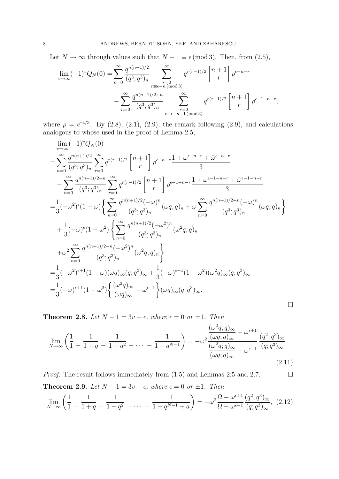Let  $N \to \infty$  through values such that  $N - 1 \equiv \epsilon \pmod{3}$ . Then, from (2.5),

$$
\lim_{v \to \infty} (-1)^{v} Q_{N}(0) = \sum_{n=0}^{\infty} \frac{q^{n(n+1)/2}}{(q^{3}; q^{3})_{n}} \sum_{\substack{r=0 \ r \equiv \epsilon - n \pmod{3} \\ (q^{3}; q^{3})_{n}}} q^{r(r-1)/2} {n+1 \choose r} \rho^{\epsilon - n - r}
$$

$$
- \sum_{n=0}^{\infty} \frac{q^{n(n+1)/2 + n}}{(q^{3}; q^{3})_{n}} \sum_{\substack{r=0 \ r \equiv \epsilon - n - 1 \pmod{3}}} q^{r(r-1)/2} {n+1 \choose r} \rho^{\epsilon - 1 - n - r},
$$

where  $\rho = e^{\pi i/3}$ . By (2.8), (2.1), (2.9), the remark following (2.9), and calculations analogous to whose used in the proof of Lemma 2.5,

$$
\lim_{v \to \infty} (-1)^{v} Q_{N}(0)
$$
\n
$$
= \sum_{n=0}^{\infty} \frac{q^{n(n+1)/2}}{(q^{3}; q^{3})_{n}} \sum_{r=0}^{\infty} q^{r(r-1)/2} \begin{bmatrix} n+1 \\ r \end{bmatrix} \rho^{\epsilon-n-r} \frac{1 + \omega^{\epsilon-n-r} + \bar{\omega}^{\epsilon-n-r}}{3}
$$
\n
$$
- \sum_{n=0}^{\infty} \frac{q^{n(n+1)/2+n}}{(q^{3}; q^{3})_{n}} \sum_{r=0}^{\infty} q^{r(r-1)/2} \begin{bmatrix} n+1 \\ r \end{bmatrix} \rho^{\epsilon-1-n-r} \frac{1 + \omega^{\epsilon-1-n-r} + \bar{\omega}^{\epsilon-1-n-r}}{3}
$$
\n
$$
= \frac{1}{3} (-\omega^{2})^{\epsilon} (1-\omega) \Big\{ \sum_{n=0}^{\infty} \frac{q^{n(n+1)/2} (-\omega)^{n}}{(q^{3}; q^{3})_{n}} (\omega q; q)_{n} + \omega \sum_{n=0}^{\infty} \frac{q^{n(n+1)/2+n} (-\omega)^{n}}{(q^{3}; q^{3})_{n}} (\omega q; q)_{n} \Big\}
$$
\n
$$
+ \frac{1}{3} (-\omega)^{\epsilon} (1-\omega^{2}) \Big\{ \sum_{n=0}^{\infty} \frac{q^{n(n+1)/2} (-\omega^{2})^{n}}{(q^{3}; q^{3})_{n}} (\omega^{2} q; q)_{n} \Big\}
$$
\n
$$
+ \omega^{2} \sum_{n=0}^{\infty} \frac{q^{n(n+1)/2+n} (-\omega^{2})^{n}}{(q^{3}; q^{3})_{n}} (\omega^{2} q; q)_{n} \Big\}
$$
\n
$$
= \frac{1}{3} (-\omega^{2})^{\epsilon+1} (1-\omega) (\omega q)_{\infty} (q; q^{3})_{\infty} + \frac{1}{3} (-\omega)^{\epsilon+1} (1-\omega^{2}) (\omega^{2} q)_{\infty} (q; q^{3})_{\infty}
$$
\n
$$
= \frac{1}{3} (-\omega)^{\epsilon+1} (1-\omega^{2}) \Big\{ \frac{(\omega^{2} q)_{\infty}}{(\omega q)_{\infty}} - \omega^{\
$$

Theorem 2.8. Let  $N - 1 = 3v + \epsilon$ , where  $\epsilon = 0$  or  $\pm 1$ . Then

$$
\lim_{N \to \infty} \left( \frac{1}{1} - \frac{1}{1+q} - \frac{1}{1+q^2} - \dots - \frac{1}{1+q^{N-1}} \right) = -\omega^2 \frac{\frac{(\omega^2 q; q)_{\infty}}{(\omega q; q)_{\infty}} - \omega^{\epsilon+1}}{\frac{(\omega^2 q; q)_{\infty}}{(\omega q; q)_{\infty}} - \omega^{\epsilon-1}} \frac{(q^2; q^3)_{\infty}}{(q; q^3)_{\infty}}.
$$
\n(2.11)

*Proof.* The result follows immediately from  $(1.5)$  and Lemmas 2.5 and 2.7. Theorem 2.9. Let  $N - 1 = 3v + \epsilon$ , where  $\epsilon = 0$  or  $\pm 1$ . Then

$$
\lim_{N \to \infty} \left( \frac{1}{1} - \frac{1}{1+q} - \frac{1}{1+q^2} - \dots - \frac{1}{1+q^{N-1}+a} \right) = -\omega^2 \frac{\Omega - \omega^{\epsilon+1}}{\Omega - \omega^{\epsilon-1}} \frac{(q^2; q^3)_{\infty}}{(q; q^3)_{\infty}}, \tag{2.12}
$$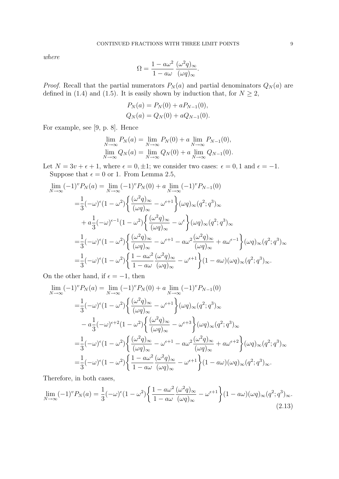where

$$
\Omega = \frac{1 - a\omega^2}{1 - a\omega} \frac{(\omega^2 q)_{\infty}}{(\omega q)_{\infty}}.
$$

*Proof.* Recall that the partial numerators  $P_N(a)$  and partial denominators  $Q_N(a)$  are defined in (1.4) and (1.5). It is easily shown by induction that, for  $N \geq 2$ ,

$$
P_N(a) = P_N(0) + aP_{N-1}(0),
$$
  
\n
$$
Q_N(a) = Q_N(0) + aQ_{N-1}(0).
$$

For example, see [9, p. 8]. Hence

$$
\lim_{N \to \infty} P_N(a) = \lim_{N \to \infty} P_N(0) + a \lim_{N \to \infty} P_{N-1}(0),
$$
  

$$
\lim_{N \to \infty} Q_N(a) = \lim_{N \to \infty} Q_N(0) + a \lim_{N \to \infty} Q_{N-1}(0).
$$

Let  $N = 3v + \epsilon + 1$ , where  $\epsilon = 0, \pm 1$ ; we consider two cases:  $\epsilon = 0, 1$  and  $\epsilon = -1$ . Suppose that  $\epsilon = 0$  or 1. From Lemma 2.5,

$$
\lim_{N \to \infty} (-1)^{v} P_{N}(a) = \lim_{N \to \infty} (-1)^{v} P_{N}(0) + a \lim_{N \to \infty} (-1)^{v} P_{N-1}(0)
$$
\n
$$
= \frac{1}{3} (-\omega)^{\epsilon} (1 - \omega^{2}) \left\{ \frac{(\omega^{2} q)_{\infty}}{(\omega q)_{\infty}} - \omega^{\epsilon+1} \right\} (\omega q)_{\infty} (q^{2}; q^{3})_{\infty}
$$
\n
$$
+ a \frac{1}{3} (-\omega)^{\epsilon-1} (1 - \omega^{2}) \left\{ \frac{(\omega^{2} q)_{\infty}}{(\omega q)_{\infty}} - \omega^{\epsilon} \right\} (\omega q)_{\infty} (q^{2}; q^{3})_{\infty}
$$
\n
$$
= \frac{1}{3} (-\omega)^{\epsilon} (1 - \omega^{2}) \left\{ \frac{(\omega^{2} q)_{\infty}}{(\omega q)_{\infty}} - \omega^{\epsilon+1} - a \omega^{2} \frac{(\omega^{2} q)_{\infty}}{(\omega q)_{\infty}} + a \omega^{\epsilon-1} \right\} (\omega q)_{\infty} (q^{2}; q^{3})_{\infty}
$$
\n
$$
= \frac{1}{3} (-\omega)^{\epsilon} (1 - \omega^{2}) \left\{ \frac{1 - a \omega^{2}}{1 - a \omega} \frac{(\omega^{2} q)_{\infty}}{(\omega q)_{\infty}} - \omega^{\epsilon+1} \right\} (1 - a \omega) (\omega q)_{\infty} (q^{2}; q^{3})_{\infty}.
$$

On the other hand, if  $\epsilon = -1$ , then

$$
\lim_{N \to \infty} (-1)^{v} P_{N}(a) = \lim_{N \to \infty} (-1)^{v} P_{N}(0) + a \lim_{N \to \infty} (-1)^{v} P_{N-1}(0)
$$
\n
$$
= \frac{1}{3} (-\omega)^{\epsilon} (1 - \omega^{2}) \left\{ \frac{(\omega^{2} q)_{\infty}}{(\omega q)_{\infty}} - \omega^{\epsilon+1} \right\} (\omega q)_{\infty} (q^{2}; q^{3})_{\infty}
$$
\n
$$
- a \frac{1}{3} (-\omega)^{\epsilon+2} (1 - \omega^{2}) \left\{ \frac{(\omega^{2} q)_{\infty}}{(\omega q)_{\infty}} - \omega^{\epsilon+3} \right\} (\omega q)_{\infty} (q^{2}; q^{3})_{\infty}
$$
\n
$$
= \frac{1}{3} (-\omega)^{\epsilon} (1 - \omega^{2}) \left\{ \frac{(\omega^{2} q)_{\infty}}{(\omega q)_{\infty}} - \omega^{\epsilon+1} - a \omega^{2} \frac{(\omega^{2} q)_{\infty}}{(\omega q)_{\infty}} + a \omega^{\epsilon+2} \right\} (\omega q)_{\infty} (q^{2}; q^{3})_{\infty}
$$
\n
$$
= \frac{1}{3} (-\omega)^{\epsilon} (1 - \omega^{2}) \left\{ \frac{1 - a \omega^{2}}{1 - a \omega} \frac{(\omega^{2} q)_{\infty}}{(\omega q)_{\infty}} - \omega^{\epsilon+1} \right\} (1 - a \omega) (\omega q)_{\infty} (q^{2}; q^{3})_{\infty}.
$$

Therefore, in both cases,

$$
\lim_{N \to \infty} (-1)^{\nu} P_N(a) = \frac{1}{3} (-\omega)^{\epsilon} (1 - \omega^2) \left\{ \frac{1 - a\omega^2}{1 - a\omega} \frac{(\omega^2 q)_{\infty}}{(\omega q)_{\infty}} - \omega^{\epsilon+1} \right\} (1 - a\omega) (\omega q)_{\infty} (q^2; q^3)_{\infty}.
$$
\n(2.13)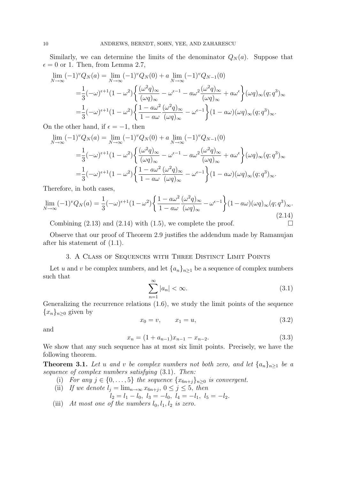Similarly, we can determine the limits of the denominator  $Q_N(a)$ . Suppose that  $\epsilon = 0$  or 1. Then, from Lemma 2.7,

$$
\lim_{N \to \infty} (-1)^{\nu} Q_N(a) = \lim_{N \to \infty} (-1)^{\nu} Q_N(0) + a \lim_{N \to \infty} (-1)^{\nu} Q_{N-1}(0)
$$
  
\n
$$
= \frac{1}{3} (-\omega)^{\epsilon+1} (1 - \omega^2) \left\{ \frac{(\omega^2 q)_{\infty}}{(\omega q)_{\infty}} - \omega^{\epsilon-1} - a\omega^2 \frac{(\omega^2 q)_{\infty}}{(\omega q)_{\infty}} + a\omega^{\epsilon} \right\} (\omega q)_{\infty} (q; q^3)_{\infty}
$$
  
\n
$$
= \frac{1}{3} (-\omega)^{\epsilon+1} (1 - \omega^2) \left\{ \frac{1 - a\omega^2}{1 - a\omega} \frac{(\omega^2 q)_{\infty}}{(\omega q)_{\infty}} - \omega^{\epsilon-1} \right\} (1 - a\omega) (\omega q)_{\infty} (q; q^3)_{\infty}.
$$

On the other hand, if  $\epsilon = -1$ , then

$$
\lim_{N \to \infty} (-1)^v Q_N(a) = \lim_{N \to \infty} (-1)^v Q_N(0) + a \lim_{N \to \infty} (-1)^v Q_{N-1}(0)
$$
  

$$
= \frac{1}{3} (-\omega)^{\epsilon+1} (1 - \omega^2) \left\{ \frac{(\omega^2 q)_{\infty}}{(\omega q)_{\infty}} - \omega^{\epsilon-1} - a\omega^2 \frac{(\omega^2 q)_{\infty}}{(\omega q)_{\infty}} + a\omega^{\epsilon} \right\} (\omega q)_{\infty} (q; q^3)_{\infty}
$$
  

$$
= \frac{1}{3} (-\omega)^{\epsilon+1} (1 - \omega^2) \left\{ \frac{1 - a\omega^2}{1 - a\omega} \frac{(\omega^2 q)_{\infty}}{(\omega q)_{\infty}} - \omega^{\epsilon-1} \right\} (1 - a\omega) (\omega q)_{\infty} (q; q^3)_{\infty}.
$$

Therefore, in both cases,

$$
\lim_{N \to \infty} (-1)^{\upsilon} Q_N(a) = \frac{1}{3} (-\omega)^{\epsilon+1} (1 - \omega^2) \left\{ \frac{1 - a\omega^2}{1 - a\omega} \frac{(\omega^2 q)_{\infty}}{(\omega q)_{\infty}} - \omega^{\epsilon-1} \right\} (1 - a\omega) (\omega q)_{\infty} (q; q^3)_{\infty}.
$$
\n(2.14)

Combining  $(2.13)$  and  $(2.14)$  with  $(1.5)$ , we complete the proof.

Observe that our proof of Theorem 2.9 justifies the addendum made by Ramanujan after his statement of (1.1).

### 3. A Class of Sequences with Three Distinct Limit Points

Let u and v be complex numbers, and let  $\{a_n\}_{n\geq 1}$  be a sequence of complex numbers such that

$$
\sum_{n=1}^{\infty} |a_n| < \infty. \tag{3.1}
$$

Generalizing the recurrence relations (1.6), we study the limit points of the sequence  ${x_n}_{n\geq 0}$  given by

$$
x_0 = v, \qquad x_1 = u,\tag{3.2}
$$

and

$$
x_n = (1 + a_{n-1})x_{n-1} - x_{n-2}.
$$
\n(3.3)

We show that any such sequence has at most six limit points. Precisely, we have the following theorem.

**Theorem 3.1.** Let u and v be complex numbers not both zero, and let  $\{a_n\}_{n>1}$  be a sequence of complex numbers satisfying (3.1). Then:

(i) For any  $j \in \{0, \ldots, 5\}$  the sequence  $\{x_{6n+j}\}_{n\geq 0}$  is convergent.

(ii) If we denote 
$$
l_j = \lim_{n \to \infty} x_{6n+j}
$$
,  $0 \le j \le 5$ , then  
\n $l_2 = l_1 - l_0$ ,  $l_3 = -l_0$ ,  $l_4 = -l_1$ ,  $l_5 = -l_2$ .

(iii) At most one of the numbers  $l_0, l_1, l_2$  is zero.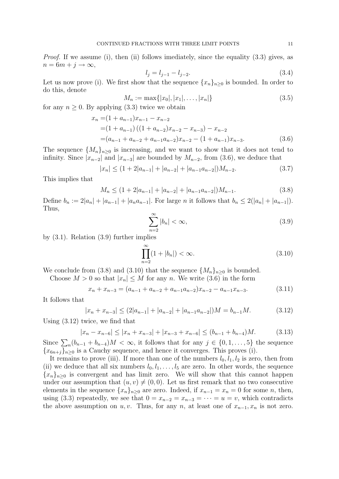Proof. If we assume (i), then (ii) follows imediately, since the equality (3.3) gives, as  $n = 6m + j \rightarrow \infty$ ,

$$
l_j = l_{j-1} - l_{j-2}.\tag{3.4}
$$

Let us now prove (i). We first show that the sequence  $\{x_n\}_{n\geq 0}$  is bounded. In order to do this, denote

$$
M_n := \max\{|x_0|, |x_1|, \dots, |x_n|\}\tag{3.5}
$$

for any  $n \geq 0$ . By applying (3.3) twice we obtain

$$
x_n = (1 + a_{n-1})x_{n-1} - x_{n-2}
$$
  
=  $(1 + a_{n-1})((1 + a_{n-2})x_{n-2} - x_{n-3}) - x_{n-2}$   
=  $(a_{n-1} + a_{n-2} + a_{n-1}a_{n-2})x_{n-2} - (1 + a_{n-1})x_{n-3}.$  (3.6)

The sequence  $\{M_n\}_{n\geq 0}$  is increasing, and we want to show that it does not tend to infinity. Since  $|x_{n-2}|$  and  $|x_{n-3}|$  are bounded by  $M_{n-2}$ , from (3.6), we deduce that

$$
|x_n| \le (1 + 2|a_{n-1}| + |a_{n-2}| + |a_{n-1}a_{n-2}|)M_{n-2}.
$$
 (3.7)

This implies that

$$
M_n \le (1 + 2|a_{n-1}| + |a_{n-2}| + |a_{n-1}a_{n-2}|)M_{n-1}.
$$
\n(3.8)

Define  $b_n := 2|a_n| + |a_{n-1}| + |a_na_{n-1}|$ . For large n it follows that  $b_n \leq 2(|a_n| + |a_{n-1}|)$ . Thus,

$$
\sum_{n=2}^{\infty} |b_n| < \infty,\tag{3.9}
$$

by (3.1). Relation (3.9) further implies

$$
\prod_{n=2}^{\infty} (1+|b_n|) < \infty. \tag{3.10}
$$

We conclude from (3.8) and (3.10) that the sequence  ${M_n}_{n>0}$  is bounded.

Choose  $M > 0$  so that  $|x_n| \leq M$  for any n. We write (3.6) in the form

$$
x_n + x_{n-3} = (a_{n-1} + a_{n-2} + a_{n-1}a_{n-2})x_{n-2} - a_{n-1}x_{n-3}.
$$
 (3.11)

It follows that

$$
|x_n + x_{n-3}| \le (2|a_{n-1}| + |a_{n-2}| + |a_{n-1}a_{n-2}|)M = b_{n-1}M.
$$
 (3.12)

Using (3.12) twice, we find that

$$
|x_n - x_{n-6}| \le |x_n + x_{n-3}| + |x_{n-3} + x_{n-6}| \le (b_{n-1} + b_{n-4})M. \tag{3.13}
$$

Since  $\sum_{n} (b_{n-1} + b_{n-4})M < \infty$ , it follows that for any  $j \in \{0, 1, \ldots, 5\}$  the sequence  ${x_{6n+j}}_{n>0}$  is a Cauchy sequence, and hence it converges. This proves (i).

It remains to prove (iii). If more than one of the numbers  $l_0, l_1, l_2$  is zero, then from (ii) we deduce that all six numbers  $l_0, l_1, \ldots, l_5$  are zero. In other words, the sequence  ${x_n}_{n>0}$  is convergent and has limit zero. We will show that this cannot happen under our assumption that  $(u, v) \neq (0, 0)$ . Let us first remark that no two consecutive elements in the sequence  $\{x_n\}_{n>0}$  are zero. Indeed, if  $x_{n-1} = x_n = 0$  for some n, then, using (3.3) repeatedly, we see that  $0 = x_{n-2} = x_{n-3} = \cdots = u = v$ , which contradicts the above assumption on u, v. Thus, for any n, at least one of  $x_{n-1}, x_n$  is not zero.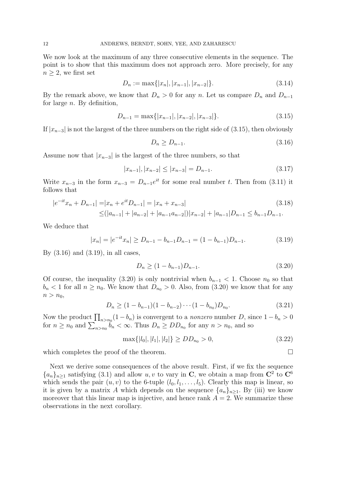We now look at the maximum of any three consecutive elements in the sequence. The point is to show that this maximum does not approach zero. More precisely, for any  $n \geq 2$ , we first set

$$
D_n := \max\{|x_n|, |x_{n-1}|, |x_{n-2}|\}.
$$
\n(3.14)

By the remark above, we know that  $D_n > 0$  for any n. Let us compare  $D_n$  and  $D_{n-1}$ for large  $n$ . By definition,

$$
D_{n-1} = \max\{|x_{n-1}|, |x_{n-2}|, |x_{n-3}|\}.
$$
\n(3.15)

If  $|x_{n-3}|$  is not the largest of the three numbers on the right side of (3.15), then obviously

$$
D_n \ge D_{n-1}.\tag{3.16}
$$

Assume now that  $|x_{n-3}|$  is the largest of the three numbers, so that

$$
|x_{n-1}|, |x_{n-2}| \le |x_{n-3}| = D_{n-1}.
$$
\n(3.17)

Write  $x_{n-3}$  in the form  $x_{n-3} = D_{n-1}e^{it}$  for some real number t. Then from (3.11) it follows that

$$
|e^{-it}x_n + D_{n-1}| = |x_n + e^{it}D_{n-1}| = |x_n + x_{n-3}|
$$
\n
$$
\leq (|a_{n-1}| + |a_{n-2}| + |a_{n-1}a_{n-2}|)|x_{n-2}| + |a_{n-1}|D_{n-1} \leq b_{n-1}D_{n-1}.
$$
\n(3.18)

We deduce that

$$
|x_n| = |e^{-it}x_n| \ge D_{n-1} - b_{n-1}D_{n-1} = (1 - b_{n-1})D_{n-1}.
$$
 (3.19)

By  $(3.16)$  and  $(3.19)$ , in all cases,

$$
D_n \ge (1 - b_{n-1}) D_{n-1}.
$$
\n(3.20)

Of course, the inequality (3.20) is only nontrivial when  $b_{n-1} < 1$ . Choose  $n_0$  so that  $b_n < 1$  for all  $n \ge n_0$ . We know that  $D_{n_0} > 0$ . Also, from (3.20) we know that for any  $n > n_0$ ,

$$
D_n \ge (1 - b_{n-1})(1 - b_{n-2}) \cdots (1 - b_{n_0}) D_{n_0}.
$$
\n(3.21)

Now the product  $\prod_{n>n_0}(1-b_n)$  is convergent to a *nonzero* number D, since  $1-b_n > 0$ for  $n \ge n_0$  and  $\sum_{n>n_0} b_n < \infty$ . Thus  $D_n \ge DD_{n_0}$  for any  $n > n_0$ , and so

$$
\max\{|l_0|, |l_1|, |l_2|\} \ge DD_{n_0} > 0,\tag{3.22}
$$

which completes the proof of the theorem.

Next we derive some consequences of the above result. First, if we fix the sequence  ${a_n}_{n\geq 1}$  satisfying (3.1) and allow u, v to vary in C, we obtain a map from C<sup>2</sup> to C<sup>6</sup> which sends the pair  $(u, v)$  to the 6-tuple  $(l_0, l_1, \ldots, l_5)$ . Clearly this map is linear, so it is given by a matrix A which depends on the sequence  $\{a_n\}_{n\geq 1}$ . By (iii) we know moreover that this linear map is injective, and hence rank  $A = 2$ . We summarize these observations in the next corollary.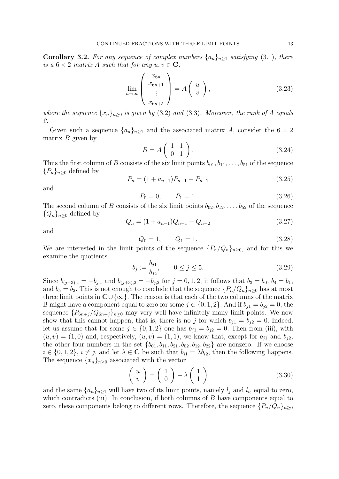**Corollary 3.2.** For any sequence of complex numbers  $\{a_n\}_{n\geq 1}$  satisfying (3.1), there is a  $6 \times 2$  matrix A such that for any  $u, v \in \mathbb{C}$ ,

$$
\lim_{n \to \infty} \begin{pmatrix} x_{6n} \\ x_{6n+1} \\ \vdots \\ x_{6n+5} \end{pmatrix} = A \begin{pmatrix} u \\ v \end{pmatrix},
$$
\n(3.23)

where the sequence  $\{x_n\}_{n\geq 0}$  is given by (3.2) and (3.3). Moreover, the rank of A equals 2.

Given such a sequence  $\{a_n\}_{n\geq 1}$  and the associated matrix A, consider the  $6 \times 2$ matrix  $B$  given by

$$
B = A \begin{pmatrix} 1 & 1 \\ 0 & 1 \end{pmatrix}.
$$
 (3.24)

Thus the first column of B consists of the six limit points  $b_{01}, b_{11}, \ldots, b_{51}$  of the sequence  ${P_n}_{n>0}$  defined by

$$
P_n = (1 + a_{n-1})P_{n-1} - P_{n-2}
$$
\n(3.25)

and

$$
P_0 = 0, \qquad P_1 = 1. \tag{3.26}
$$

The second column of B consists of the six limit points  $b_{02}, b_{12}, \ldots, b_{52}$  of the sequence  ${Q_n}_{n>0}$  defined by

$$
Q_n = (1 + a_{n-1})Q_{n-1} - Q_{n-2}
$$
\n(3.27)

and

$$
Q_0 = 1, \qquad Q_1 = 1. \tag{3.28}
$$

We are interested in the limit points of the sequence  $\{P_n/Q_n\}_{n>0}$ , and for this we examine the quotients

$$
b_j := \frac{b_{j1}}{b_{j2}}, \qquad 0 \le j \le 5. \tag{3.29}
$$

Since  $b_{(j+3),1} = -b_{j,1}$  and  $b_{(j+3),2} = -b_{j,2}$  for  $j = 0, 1, 2$ , it follows that  $b_3 = b_0$ ,  $b_4 = b_1$ , and  $b_5 = b_2$ . This is not enough to conclude that the sequence  $\{P_n/Q_n\}_{n>0}$  has at most three limit points in  $\mathbb{C}\cup\{\infty\}$ . The reason is that each of the two columns of the matrix B might have a component equal to zero for some  $j \in \{0, 1, 2\}$ . And if  $b_{i1} = b_{i2} = 0$ , the sequence  $\{P_{6n+j}/Q_{6n+j}\}_{n\geq 0}$  may very well have infinitely many limit points. We now show that this cannot happen, that is, there is no j for which  $b_{i1} = b_{i2} = 0$ . Indeed, let us assume that for some  $j \in \{0, 1, 2\}$  one has  $b_{j1} = b_{j2} = 0$ . Then from (iii), with  $(u, v) = (1, 0)$  and, respectively,  $(u, v) = (1, 1)$ , we know that, except for  $b_{j1}$  and  $b_{j2}$ , the other four numbers in the set  $\{b_{01}, b_{11}, b_{21}, b_{02}, b_{12}, b_{22}\}$  are nonzero. If we choose  $i \in \{0, 1, 2\}, i \neq j$ , and let  $\lambda \in \mathbb{C}$  be such that  $b_{i1} = \lambda b_{i2}$ , then the following happens. The sequence  ${x_n}_{n\geq 0}$  associated with the vector

$$
\left(\begin{array}{c} u \\ v \end{array}\right) = \left(\begin{array}{c} 1 \\ 0 \end{array}\right) - \lambda \left(\begin{array}{c} 1 \\ 1 \end{array}\right) \tag{3.30}
$$

and the same  $\{a_n\}_{n\geq 1}$  will have two of its limit points, namely  $l_j$  and  $l_i$ , equal to zero, which contradicts (iii). In conclusion, if both columns of  $B$  have components equal to zero, these components belong to different rows. Therefore, the sequence  $\{P_n/Q_n\}_{n\geq 0}$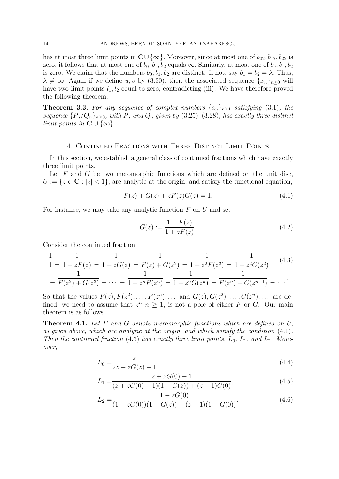has at most three limit points in  $\mathbb{C}\cup\{\infty\}$ . Moreover, since at most one of  $b_{02}, b_{12}, b_{22}$  is zero, it follows that at most one of  $b_0$ ,  $b_1$ ,  $b_2$  equals  $\infty$ . Similarly, at most one of  $b_0$ ,  $b_1$ ,  $b_2$ is zero. We claim that the numbers  $b_0$ ,  $b_1$ ,  $b_2$  are distinct. If not, say  $b_1 = b_2 = \lambda$ . Thus,  $\lambda \neq \infty$ . Again if we define u, v by (3.30), then the associated sequence  $\{x_n\}_{n>0}$  will have two limit points  $l_1, l_2$  equal to zero, contradicting (iii). We have therefore proved the following theorem.

**Theorem 3.3.** For any sequence of complex numbers  $\{a_n\}_{n\geq 1}$  satisfying (3.1), the sequence  ${P_n/Q_n}_{n\geq 0}$ , with  $P_n$  and  $Q_n$  given by (3.25)–(3.28), has exactly three distinct limit points in  $\mathbf{C} \cup \{\infty\}.$ 

#### 4. Continued Fractions with Three Distinct Limit Points

In this section, we establish a general class of continued fractions which have exactly three limit points.

Let  $F$  and  $G$  be two meromorphic functions which are defined on the unit disc,  $U := \{z \in \mathbb{C} : |z| < 1\}$ , are analytic at the origin, and satisfy the functional equation,

$$
F(z) + G(z) + zF(z)G(z) = 1.
$$
\n(4.1)

For instance, we may take any analytic function  $F$  on  $U$  and set

$$
G(z) := \frac{1 - F(z)}{1 + zF(z)}.
$$
\n(4.2)

Consider the continued fraction

$$
\frac{1}{1} - \frac{1}{1 + zF(z)} - \frac{1}{1 + zG(z)} - \frac{1}{F(z) + G(z^2)} - \frac{1}{1 + z^2F(z^2)} - \frac{1}{1 + z^2G(z^2)} \tag{4.3}
$$
\n
$$
-\frac{1}{F(z^2) + G(z^3)} - \dots - \frac{1}{1 + z^nF(z^n)} - \frac{1}{1 + z^nG(z^n)} - \frac{1}{F(z^n) + G(z^{n+1})} - \dots
$$

So that the values  $F(z)$ ,  $F(z^2)$ , ...,  $F(z^n)$ , ... and  $G(z)$ ,  $G(z^2)$ , ...,  $G(z^n)$ , ... are defined, we need to assume that  $z^n, n \geq 1$ , is not a pole of either F or G. Our main theorem is as follows.

**Theorem 4.1.** Let F and G denote meromorphic functions which are defined on  $U$ , as given above, which are analytic at the origin, and which satisfy the condition (4.1). Then the continued fraction (4.3) has exactly three limit points,  $L_0$ ,  $L_1$ , and  $L_2$ . Moreover,

$$
L_0 = \frac{z}{2z - zG(z) - 1},\tag{4.4}
$$

$$
L_1 = \frac{z + zG(0) - 1}{(z + zG(0) - 1)(1 - G(z)) + (z - 1)G(0)},
$$
\n(4.5)

$$
L_2 = \frac{1 - 2G(0)}{(1 - zG(0))(1 - G(z)) + (z - 1)(1 - G(0))}.
$$
\n(4.6)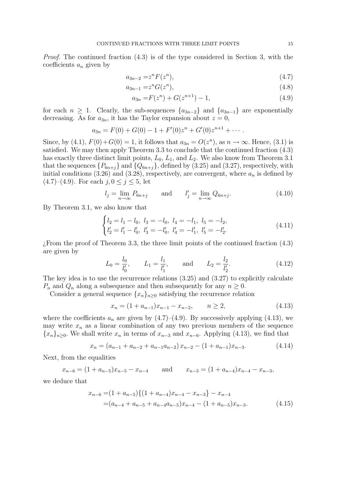Proof. The continued fraction (4.3) is of the type considered in Section 3, with the coefficients  $a_n$  given by

$$
a_{3n-2} = z^n F(z^n),
$$
\n(4.7)

$$
a_{3n-1} = z^n G(z^n),
$$
\n(4.8)

$$
a_{3n} = F(z^n) + G(z^{n+1}) - 1,\tag{4.9}
$$

for each  $n \geq 1$ . Clearly, the sub-sequences  $\{a_{3n-2}\}\$  and  $\{a_{3n-1}\}\$  are exponentially decreasing. As for  $a_{3n}$ , it has the Taylor expansion about  $z = 0$ ,

$$
a_{3n} = F(0) + G(0) - 1 + F'(0)z^{n} + G'(0)z^{n+1} + \cdots
$$

Since, by (4.1),  $F(0) + G(0) = 1$ , it follows that  $a_{3n} = O(z^n)$ , as  $n \to \infty$ . Hence, (3.1) is satisfied. We may then apply Theorem 3.3 to conclude that the continued fraction (4.3) has exactly three distinct limit points,  $L_0$ ,  $L_1$ , and  $L_2$ . We also know from Theorem 3.1 that the sequences  $\{P_{6n+j}\}\$  and  $\{Q_{6n+j}\}\$ , defined by (3.25) and (3.27), respectively, with initial conditions (3.26) and (3.28), respectively, are convergent, where  $a_n$  is defined by  $(4.7)$ – $(4.9)$ . For each  $j, 0 \le j \le 5$ , let

$$
l_j = \lim_{n \to \infty} P_{6n+j}
$$
 and  $l'_j = \lim_{n \to \infty} Q_{6n+j}.$  (4.10)

By Theorem 3.1, we also know that

$$
\begin{cases}\nl_2 = l_1 - l_0, \ l_3 = -l_0, \ l_4 = -l_1, \ l_5 = -l_2, \\
l'_2 = l'_1 - l'_0, \ l'_3 = -l'_0, \ l'_4 = -l'_1, \ l'_5 = -l'_2.\n\end{cases} \tag{4.11}
$$

¿From the proof of Theorem 3.3, the three limit points of the continued fraction (4.3) are given by

$$
L_0 = \frac{l_0}{l'_0}, \qquad L_1 = \frac{l_1}{l'_1}, \qquad \text{and} \qquad L_2 = \frac{l_2}{l'_2}.
$$
 (4.12)

The key idea is to use the recurrence relations (3.25) and (3.27) to explicitly calculate  $P_n$  and  $Q_n$  along a subsequence and then subsequently for any  $n \geq 0$ .

Consider a general sequence  ${x_n}_{n\geq 0}$  satisfying the recurrence relation

$$
x_n = (1 + a_{n-1})x_{n-1} - x_{n-2}, \qquad n \ge 2,
$$
\n(4.13)

where the coefficients  $a_n$  are given by (4.7)–(4.9). By successively applying (4.13), we may write  $x_n$  as a linear combination of any two previous members of the sequence  ${x_n}_{n>0}$ . We shall write  $x_n$  in terms of  $x_{n-3}$  and  $x_{n-6}$ . Applying (4.13), we find that

$$
x_n = (a_{n-1} + a_{n-2} + a_{n-1}a_{n-2})x_{n-2} - (1 + a_{n-1})x_{n-3}.
$$
 (4.14)

Next, from the equalities

$$
x_{n-6} = (1 + a_{n-5})x_{n-5} - x_{n-4}
$$
 and  $x_{n-5} = (1 + a_{n-4})x_{n-4} - x_{n-3}$ ,

we deduce that

$$
x_{n-6} = (1 + a_{n-5})\{(1 + a_{n-4})x_{n-4} - x_{n-3}\} - x_{n-4}
$$
  
=  $(a_{n-4} + a_{n-5} + a_{n-4}a_{n-5})x_{n-4} - (1 + a_{n-5})x_{n-3}.$  (4.15)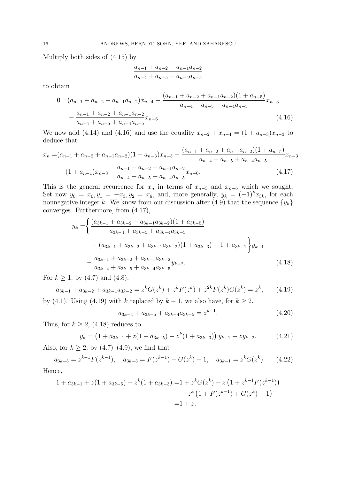Multiply both sides of (4.15) by

$$
\frac{a_{n-1} + a_{n-2} + a_{n-1}a_{n-2}}{a_{n-4} + a_{n-5} + a_{n-4}a_{n-5}}
$$

to obtain

$$
0 = (a_{n-1} + a_{n-2} + a_{n-1}a_{n-2})x_{n-4} - \frac{(a_{n-1} + a_{n-2} + a_{n-1}a_{n-2})(1 + a_{n-5})}{a_{n-4} + a_{n-5} + a_{n-4}a_{n-5}}x_{n-3} - \frac{a_{n-1} + a_{n-2} + a_{n-1}a_{n-2}}{a_{n-4} + a_{n-5} + a_{n-4}a_{n-5}}x_{n-6}.
$$
\n(4.16)

We now add (4.14) and (4.16) and use the equality  $x_{n-2} + x_{n-4} = (1 + a_{n-3})x_{n-3}$  to deduce that

$$
x_n = (a_{n-1} + a_{n-2} + a_{n-1}a_{n-2})(1 + a_{n-3})x_{n-3} - \frac{(a_{n-1} + a_{n-2} + a_{n-1}a_{n-2})(1 + a_{n-5})}{a_{n-4} + a_{n-5} + a_{n-4}a_{n-5}}x_{n-3}
$$

$$
-(1 + a_{n-1})x_{n-3} - \frac{a_{n-1} + a_{n-2} + a_{n-1}a_{n-2}}{a_{n-4} + a_{n-5} + a_{n-4}a_{n-5}}x_{n-6}.
$$
(4.17)

This is the general recurrence for  $x_n$  in terms of  $x_{n-3}$  and  $x_{n-6}$  which we sought. Set now  $y_0 = x_0, y_1 = -x_3, y_2 = x_6$ , and, more generally,  $y_k = (-1)^k x_{3k}$ , for each nonnegative integer k. We know from our discussion after (4.9) that the sequence  $\{y_k\}$ converges. Furthermore, from (4.17),

$$
y_{k} = \left\{ \frac{(a_{3k-1} + a_{3k-2} + a_{3k-1}a_{3k-2})(1 + a_{3k-5})}{a_{3k-4} + a_{3k-5} + a_{3k-4}a_{3k-5}} - (a_{3k-1} + a_{3k-2} + a_{3k-1}a_{3k-2})(1 + a_{3k-3}) + 1 + a_{3k-1} \right\} y_{k-1}
$$

$$
- \frac{a_{3k-1} + a_{3k-2} + a_{3k-1}a_{3k-2}}{a_{3k-4} + a_{3k-5} + a_{3k-4}a_{3k-5}} y_{k-2}.
$$
(4.18)

For  $k \ge 1$ , by (4.7) and (4.8),

$$
a_{3k-1} + a_{3k-2} + a_{3k-1}a_{3k-2} = z^k G(z^k) + z^k F(z^k) + z^{2k} F(z^k) G(z^k) = z^k, \qquad (4.19)
$$

by (4.1). Using (4.19) with k replaced by  $k-1$ , we also have, for  $k \geq 2$ ,

$$
a_{3k-4} + a_{3k-5} + a_{3k-4}a_{3k-5} = z^{k-1}.
$$
\n(4.20)

Thus, for  $k \geq 2$ , (4.18) reduces to

$$
y_k = \left(1 + a_{3k-1} + z(1 + a_{3k-5}) - z^k(1 + a_{3k-3})\right)y_{k-1} - zy_{k-2}.\tag{4.21}
$$

Also, for  $k \geq 2$ , by  $(4.7)$ – $(4.9)$ , we find that

$$
a_{3k-5} = z^{k-1} F(z^{k-1}), \quad a_{3k-3} = F(z^{k-1}) + G(z^k) - 1, \quad a_{3k-1} = z^k G(z^k). \tag{4.22}
$$

$$
\rm Hence,
$$

$$
1 + a_{3k-1} + z(1 + a_{3k-5}) - z^{k}(1 + a_{3k-3}) = 1 + z^{k}G(z^{k}) + z(1 + z^{k-1}F(z^{k-1}))
$$
  

$$
- z^{k}(1 + F(z^{k-1}) + G(z^{k}) - 1)
$$
  

$$
= 1 + z.
$$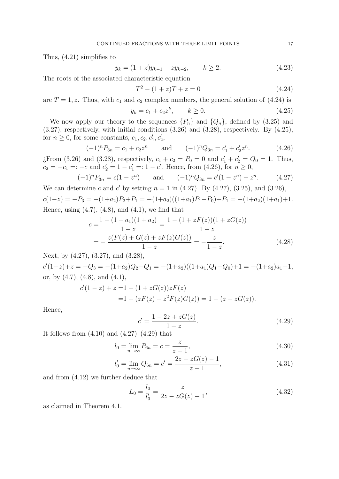Thus, (4.21) simplifies to

$$
y_k = (1+z)y_{k-1} - zy_{k-2}, \qquad k \ge 2. \tag{4.23}
$$

The roots of the associated characteristic equation

$$
T^2 - (1+z)T + z = 0 \tag{4.24}
$$

are  $T = 1, z$ . Thus, with  $c_1$  and  $c_2$  complex numbers, the general solution of (4.24) is

$$
y_k = c_1 + c_2 z^k, \qquad k \ge 0.
$$
 (4.25)

We now apply our theory to the sequences  $\{P_n\}$  and  $\{Q_n\}$ , defined by (3.25) and (3.27), respectively, with initial conditions (3.26) and (3.28), respectively. By (4.25), for  $n \geq 0$ , for some constants,  $c_1, c_2, c'_1, c'_2$ ,

$$
(-1)^n P_{3n} = c_1 + c_2 z^n \qquad \text{and} \qquad (-1)^n Q_{3n} = c'_1 + c'_2 z^n. \tag{4.26}
$$

*i* From (3.26) and (3.28), respectively,  $c_1 + c_2 = P_0 = 0$  and  $c'_1 + c'_2 = Q_0 = 1$ . Thus,  $c_2 = -c_1 =: -c$  and  $c'_2 = 1 - c'_1 =: 1 - c'$ . Hence, from (4.26), for  $n \ge 0$ ,

$$
(-1)^n P_{3n} = c(1 - z^n) \qquad \text{and} \qquad (-1)^n Q_{3n} = c'(1 - z^n) + z^n. \tag{4.27}
$$

We can determine c and c' by setting 
$$
n = 1
$$
 in (4.27). By (4.27), (3.25), and (3.26),  
 $c(1-z) = -P_3 = -(1+a_2)P_2+P_1 = -(1+a_2)((1+a_1)P_1-P_0)+P_1 = -(1+a_2)(1+a_1)+1$ .  
Hence, using (4.7), (4.8), and (4.1), we find that

$$
c = \frac{1 - (1 + a_1)(1 + a_2)}{1 - z} = \frac{1 - (1 + zF(z))(1 + zG(z))}{1 - z}
$$
  
= 
$$
-\frac{z(F(z) + G(z) + zF(z)G(z))}{1 - z} = -\frac{z}{1 - z}.
$$
 (4.28)

Next, by (4.27), (3.27), and (3.28),

 $c'(1-z)+z = -Q_3 = -(1+a_2)Q_2+Q_1 = -(1+a_2)((1+a_1)Q_1-Q_0)+1 = -(1+a_2)a_1+1,$ or, by  $(4.7)$ ,  $(4.8)$ , and  $(4.1)$ ,

$$
c'(1-z) + z = 1 - (1 + zG(z))zF(z)
$$
  
= 1 - (zF(z) + z<sup>2</sup>F(z)G(z)) = 1 - (z - zG(z)).

Hence,

$$
c' = \frac{1 - 2z + zG(z)}{1 - z}.
$$
\n(4.29)

It follows from  $(4.10)$  and  $(4.27)$ – $(4.29)$  that

$$
l_0 = \lim_{n \to \infty} P_{6n} = c = \frac{z}{z - 1},
$$
\n(4.30)

$$
l'_0 = \lim_{n \to \infty} Q_{6n} = c' = \frac{2z - zG(z) - 1}{z - 1},
$$
\n(4.31)

and from (4.12) we further deduce that

$$
L_0 = \frac{l_0}{l'_0} = \frac{z}{2z - zG(z) - 1},\tag{4.32}
$$

as claimed in Theorem 4.1.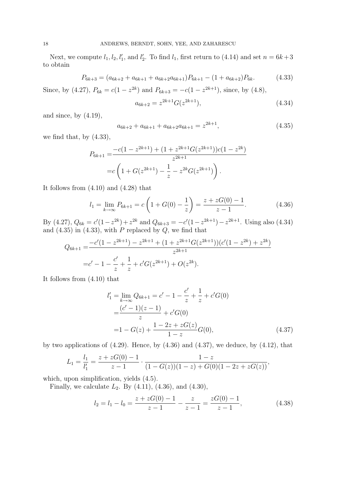Next, we compute  $l_1, l_2, l'_1$ , and  $l'_2$ . To find  $l_1$ , first return to (4.14) and set  $n = 6k+3$ to obtain

$$
P_{6k+3} = (a_{6k+2} + a_{6k+1} + a_{6k+2}a_{6k+1})P_{6k+1} - (1 + a_{6k+2})P_{6k}.
$$
 (4.33)

Since, by (4.27),  $P_{6k} = c(1 - z^{2k})$  and  $P_{6k+3} = -c(1 - z^{2k+1})$ , since, by (4.8),

$$
a_{6k+2} = z^{2k+1} G(z^{2k+1}),
$$
\n(4.34)

and since, by  $(4.19)$ ,

$$
a_{6k+2} + a_{6k+1} + a_{6k+2}a_{6k+1} = z^{2k+1}, \t\t(4.35)
$$

we find that, by  $(4.33)$ ,

$$
P_{6k+1} = \frac{-c(1 - z^{2k+1}) + (1 + z^{2k+1}G(z^{2k+1}))c(1 - z^{2k})}{z^{2k+1}}
$$

$$
= c\left(1 + G(z^{2k+1}) - \frac{1}{z} - z^{2k}G(z^{2k+1})\right).
$$

It follows from (4.10) and (4.28) that

$$
l_1 = \lim_{k \to \infty} P_{6k+1} = c \left( 1 + G(0) - \frac{1}{z} \right) = \frac{z + zG(0) - 1}{z - 1}.
$$
 (4.36)

By (4.27),  $Q_{6k} = c'(1-z^{2k})+z^{2k}$  and  $Q_{6k+3} = -c'(1-z^{2k+1})-z^{2k+1}$ . Using also (4.34) and  $(4.35)$  in  $(4.33)$ , with P replaced by Q, we find that

$$
Q_{6k+1} = \frac{-c'(1 - z^{2k+1}) - z^{2k+1} + (1 + z^{2k+1}G(z^{2k+1}))(c'(1 - z^{2k}) + z^{2k})}{z^{2k+1}}
$$
  
= c' - 1 -  $\frac{c'}{z} + \frac{1}{z} + c'G(z^{2k+1}) + O(z^{2k}).$ 

It follows from (4.10) that

$$
l'_{1} = \lim_{k \to \infty} Q_{6k+1} = c' - 1 - \frac{c'}{z} + \frac{1}{z} + c'G(0)
$$
  
= 
$$
\frac{(c'-1)(z-1)}{z} + c'G(0)
$$
  
= 
$$
1 - G(z) + \frac{1 - 2z + zG(z)}{1 - z}G(0),
$$
 (4.37)

by two applications of  $(4.29)$ . Hence, by  $(4.36)$  and  $(4.37)$ , we deduce, by  $(4.12)$ , that

$$
L_1 = \frac{l_1}{l'_1} = \frac{z + zG(0) - 1}{z - 1} \cdot \frac{1 - z}{(1 - G(z))(1 - z) + G(0)(1 - 2z + zG(z))},
$$

which, upon simplification, yields (4.5).

Finally, we calculate  $L_2$ . By  $(4.11)$ ,  $(4.36)$ , and  $(4.30)$ ,

$$
l_2 = l_1 - l_0 = \frac{z + zG(0) - 1}{z - 1} - \frac{z}{z - 1} = \frac{zG(0) - 1}{z - 1},
$$
\n(4.38)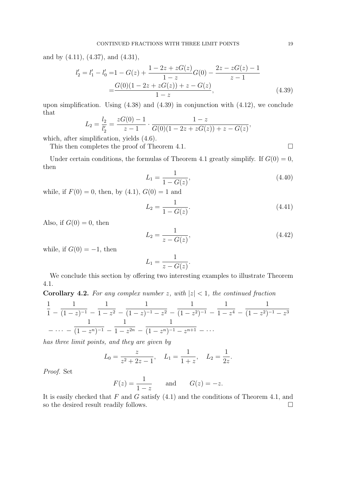and by (4.11), (4.37), and (4.31),

$$
l'_2 = l'_1 - l'_0 = 1 - G(z) + \frac{1 - 2z + zG(z)}{1 - z}G(0) - \frac{2z - zG(z) - 1}{z - 1}
$$
  
= 
$$
\frac{G(0)(1 - 2z + zG(z)) + z - G(z)}{1 - z},
$$
(4.39)

upon simplification. Using (4.38) and (4.39) in conjunction with (4.12), we conclude that

$$
L_2 = \frac{l_2}{l'_2} = \frac{zG(0) - 1}{z - 1} \cdot \frac{1 - z}{G(0)(1 - 2z + zG(z)) + z - G(z)},
$$

which, after simplification, yields (4.6).

This then completes the proof of Theorem 4.1.  $\Box$ 

Under certain conditions, the formulas of Theorem 4.1 greatly simplify. If  $G(0) = 0$ , then

$$
L_1 = \frac{1}{1 - G(z)},\tag{4.40}
$$

while, if  $F(0) = 0$ , then, by  $(4.1)$ ,  $G(0) = 1$  and

$$
L_2 = \frac{1}{1 - G(z)}.\tag{4.41}
$$

Also, if  $G(0) = 0$ , then

$$
L_2 = \frac{1}{z - G(z)},\tag{4.42}
$$

while, if  $G(0) = -1$ , then

$$
L_1 = \frac{1}{z - G(z)}.
$$

We conclude this section by offering two interesting examples to illustrate Theorem 4.1.

**Corollary 4.2.** For any complex number z, with  $|z| < 1$ , the continued fraction

$$
\frac{1}{1} - \frac{1}{(1-z)^{-1}} - \frac{1}{1-z^2} - \frac{1}{(1-z)^{-1} - z^2} - \frac{1}{(1-z^2)^{-1}} - \frac{1}{1-z^4} - \frac{1}{(1-z^2)^{-1} - z^3}
$$
\n
$$
-\cdots - \frac{1}{(1-z^n)^{-1}} - \frac{1}{1-z^{2n}} - \frac{1}{(1-z^n)^{-1} - z^{n+1}} - \cdots
$$

has three limit points, and they are given by

$$
L_0 = \frac{z}{z^2 + 2z - 1}, \quad L_1 = \frac{1}{1 + z}, \quad L_2 = \frac{1}{2z}.
$$

Proof. Set

$$
F(z) = \frac{1}{1-z} \quad \text{and} \quad G(z) = -z.
$$

It is easily checked that  $F$  and  $G$  satisfy  $(4.1)$  and the conditions of Theorem 4.1, and so the desired result readily follows.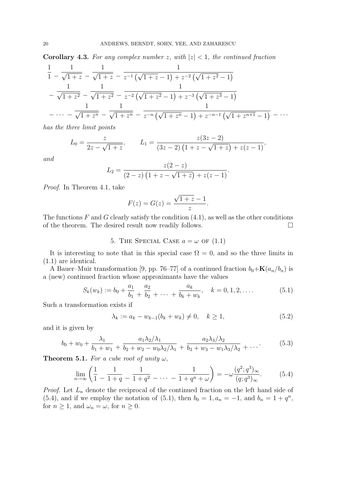**Corollary 4.3.** For any complex number z, with  $|z| < 1$ , the continued fraction

$$
\frac{1}{1} - \frac{1}{\sqrt{1+z}} - \frac{1}{\sqrt{1+z}} - \frac{1}{z^{-1}(\sqrt{1+z}-1) + z^{-2}(\sqrt{1+z^2}-1)} \n- \frac{1}{\sqrt{1+z^2}} - \frac{1}{\sqrt{1+z^2}} - \frac{1}{z^{-2}(\sqrt{1+z^2}-1) + z^{-3}(\sqrt{1+z^3}-1)} \n- \cdots - \frac{1}{\sqrt{1+z^n}} - \frac{1}{\sqrt{1+z^n}} - \frac{1}{z^{-n}(\sqrt{1+z^n}-1) + z^{-n-1}(\sqrt{1+z^{n+1}}-1)} - \cdots
$$

has the three limit points

$$
L_0 = \frac{z}{2z - \sqrt{1+z}}, \qquad L_1 = \frac{z(3z - 2)}{(3z - 2)(1 + z - \sqrt{1+z}) + z(z - 1)},
$$

and

$$
L_2 = \frac{z(2-z)}{(2-z)\left(1+z-\sqrt{1+z}\right)+z(z-1)}.
$$

Proof. In Theorem 4.1, take

$$
F(z) = G(z) = \frac{\sqrt{1+z} - 1}{z}.
$$

The functions  $F$  and  $G$  clearly satisfy the condition  $(4.1)$ , as well as the other conditions of the theorem. The desired result now readily follows.  $\Box$ 

5. THE SPECIAL CASE  $a = \omega$  OF (1.1)

It is interesting to note that in this special case  $\Omega = 0$ , and so the three limits in (1.1) are identical.

A Bauer–Muir transformation [9, pp. 76–77] of a continued fraction  $b_0+{\bf K}(a_n/b_n)$  is a (new) continued fraction whose approximants have the values

$$
S_k(w_k) := b_0 + \frac{a_1}{b_1} + \frac{a_2}{b_2} + \dots + \frac{a_k}{b_k + w_k}, \quad k = 0, 1, 2, \dots
$$
 (5.1)

Such a transformation exists if

$$
\lambda_k := a_k - w_{k-1}(b_k + w_k) \neq 0, \quad k \ge 1,
$$
\n(5.2)

and it is given by

$$
b_0 + w_0 + \frac{\lambda_1}{b_1 + w_1} + \frac{a_1 \lambda_2 / \lambda_1}{b_2 + w_2 - w_0 \lambda_2 / \lambda_1} + \frac{a_2 \lambda_3 / \lambda_2}{b_3 + w_3 - w_1 \lambda_3 / \lambda_2} + \dots
$$
 (5.3)

**Theorem 5.1.** For a cube root of unity  $\omega$ ,

$$
\lim_{n \to \infty} \left( \frac{1}{1} - \frac{1}{1+q} - \frac{1}{1+q^2} - \dots - \frac{1}{1+q^n + \omega} \right) = -\omega \frac{(q^2; q^3)_{\infty}}{(q; q^3)_{\infty}}.
$$
(5.4)

*Proof.* Let  $L_n$  denote the reciprocal of the continued fraction on the left hand side of (5.4), and if we employ the notation of (5.1), then  $b_0 = 1, a_n = -1$ , and  $b_n = 1 + q^n$ , for  $n \geq 1$ , and  $\omega_n = \omega$ , for  $n \geq 0$ .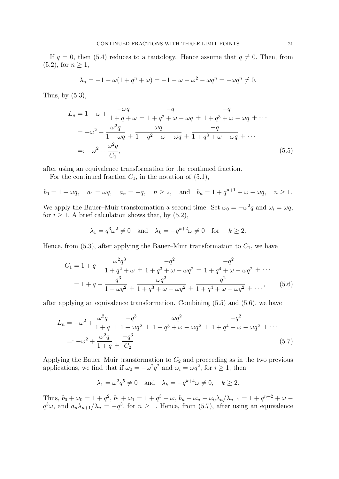If  $q = 0$ , then (5.4) reduces to a tautology. Hence assume that  $q \neq 0$ . Then, from  $(5.2)$ , for  $n \geq 1$ ,

$$
\lambda_n = -1 - \omega(1 + q^n + \omega) = -1 - \omega - \omega^2 - \omega q^n = -\omega q^n \neq 0.
$$

Thus, by  $(5.3)$ ,

$$
L_n = 1 + \omega + \frac{-\omega q}{1 + q + \omega} + \frac{-q}{1 + q^2 + \omega - \omega q} + \frac{-q}{1 + q^3 + \omega - \omega q} + \cdots
$$
  
=  $-\omega^2 + \frac{\omega^2 q}{1 - \omega q} + \frac{\omega q}{1 + q^2 + \omega - \omega q} + \frac{-q}{1 + q^3 + \omega - \omega q} + \cdots$   
=:  $-\omega^2 + \frac{\omega^2 q}{C_1}$ , (5.5)

after using an equivalence transformation for the continued fraction.

For the continued fraction  $C_1$ , in the notation of  $(5.1)$ ,

$$
b_0 = 1 - \omega q
$$
,  $a_1 = \omega q$ ,  $a_n = -q$ ,  $n \ge 2$ , and  $b_n = 1 + q^{n+1} + \omega - \omega q$ ,  $n \ge 1$ .

We apply the Bauer–Muir transformation a second time. Set  $\omega_0 = -\omega^2 q$  and  $\omega_i = \omega q$ , for  $i \geq 1$ . A brief calculation shows that, by  $(5.2)$ ,

$$
\lambda_1 = q^3 \omega^2 \neq 0
$$
 and  $\lambda_k = -q^{k+2} \omega \neq 0$  for  $k \ge 2$ .

Hence, from  $(5.3)$ , after applying the Bauer–Muir transformation to  $C_1$ , we have

$$
C_1 = 1 + q + \frac{\omega^2 q^3}{1 + q^2 + \omega} + \frac{-q^2}{1 + q^3 + \omega - \omega q^2} + \frac{-q^2}{1 + q^4 + \omega - \omega q^2} + \cdots
$$
  
= 
$$
1 + q + \frac{-q^3}{1 - \omega q^2} + \frac{\omega q^2}{1 + q^3 + \omega - \omega q^2} + \frac{-q^2}{1 + q^4 + \omega - \omega q^2} + \cdots, \qquad (5.6)
$$

after applying an equivalence transformation. Combining (5.5) and (5.6), we have

$$
L_n = -\omega^2 + \frac{\omega^2 q}{1+q} + \frac{-q^3}{1-\omega q^2} + \frac{\omega q^2}{1+q^3+\omega-\omega q^2} + \frac{-q^2}{1+q^4+\omega-\omega q^2} + \cdots
$$
  
=:  $-\omega^2 + \frac{\omega^2 q}{1+q} + \frac{-q^3}{C_2}.$  (5.7)

Applying the Bauer–Muir transformation to  $C_2$  and proceeding as in the two previous applications, we find that if  $\omega_0 = -\omega^2 q^2$  and  $\omega_i = \omega q^2$ , for  $i \ge 1$ , then

$$
\lambda_1 = \omega^2 q^5 \neq 0
$$
 and  $\lambda_k = -q^{k+4} \omega \neq 0$ ,  $k \ge 2$ .

Thus,  $b_0 + \omega_0 = 1 + q^2$ ,  $b_1 + \omega_1 = 1 + q^3 + \omega$ ,  $b_n + \omega_n - \omega_0 \lambda_n / \lambda_{n-1} = 1 + q^{n+2} + \omega$  $q^3\omega$ , and  $a_n\lambda_{n+1}/\lambda_n = -q^3$ , for  $n \ge 1$ . Hence, from (5.7), after using an equivalence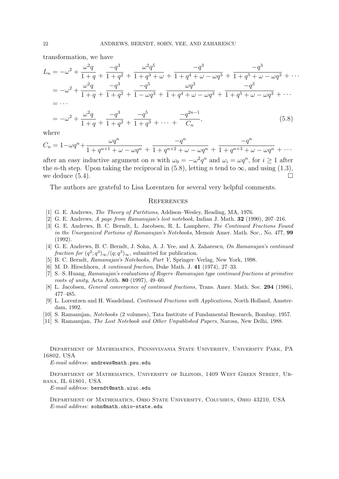transformation, we have

$$
L_n = -\omega^2 + \frac{\omega^2 q}{1+q} + \frac{-q^3}{1+q^2} + \frac{\omega^2 q^5}{1+q^3 + \omega} + \frac{-q^3}{1+q^4 + \omega - \omega q^3} + \frac{-q^3}{1+q^5 + \omega - \omega q^3} + \cdots
$$
  
\n
$$
= -\omega^2 + \frac{\omega^2 q}{1+q} + \frac{-q^3}{1+q^2} + \frac{-q^5}{1-\omega q^3} + \frac{\omega q^3}{1+q^4 + \omega - \omega q^3} + \frac{-q^3}{1+q^5 + \omega - \omega q^3} + \cdots
$$
  
\n
$$
= \cdots
$$
  
\n
$$
= -\omega^2 + \frac{\omega^2 q}{1+q} + \frac{-q^3}{1+q^2} + \frac{-q^5}{1+q^3} + \cdots + \frac{-q^{2n-1}}{C_n},
$$
\n(5.8)

where

$$
C_n = 1 - \omega q^n + \frac{\omega q^n}{1 + q^{n+1} + \omega - \omega q^n} + \frac{-q^n}{1 + q^{n+2} + \omega - \omega q^n} + \frac{-q^n}{1 + q^{n+3} + \omega - \omega q^n} + \cdots
$$

after an easy inductive argument on n with  $\omega_0 = -\omega^2 q^n$  and  $\omega_i = \omega q^n$ , for  $i \ge 1$  after the *n*-th step. Upon taking the reciprocal in (5.8), letting *n* tend to  $\infty$ , and using (1.3), we deduce  $(5.4)$ .

The authors are grateful to Lisa Lorentzen for several very helpful comments.

#### **REFERENCES**

- [1] G. E. Andrews, The Theory of Partitions, Addison–Wesley, Reading, MA, 1976.
- [2] G. E. Andrews, A page from Ramanujan's lost notebook, Indian J. Math. 32 (1990), 207–216.
- [3] G. E. Andrews, B. C. Berndt, L. Jacobsen, R. L. Lamphere, The Continued Fractions Found in the Unorganized Portions of Ramanujan's Notebooks, Memoir Amer. Math. Soc., No. 477, 99 (1992).
- [4] G. E. Andrews, B. C. Berndt, J. Sohn, A. J. Yee, and A. Zaharescu, On Ramanujan's continued fraction for  $(q^2; q^3)_{\infty}/(q; q^3)_{\infty}$ , submitted for publication.
- [5] B. C. Berndt, Ramanujan's Notebooks, Part V, Springer–Verlag, New York, 1998.
- [6] M. D. Hirschhorn, A continued fraction, Duke Math. J. 41 (1974), 27–33.
- [7] S.–S. Huang, Ramanujan's evaluations of Rogers–Ramanujan type continued fractions at primitive roots of unity, Acta Arith. 80 (1997), 49–60.
- [8] L. Jacobsen, *General convergence of continued fractions*, Trans. Amer. Math. Soc. 294 (1986), 477–485.
- [9] L. Lorentzen and H. Waadeland, Continued Fractions with Applications, North Holland, Amsterdam, 1992.
- [10] S. Ramanujan, Notebooks (2 volumes), Tata Institute of Fundamental Research, Bombay, 1957.
- [11] S. Ramanujan, The Lost Notebook and Other Unpublished Papers, Narosa, New Delhi, 1988.

Department of Mathematics, Pennsylvania State University, University Park, PA 16802, USA

E-mail address: andrews@math.psu.edu

Department of Mathematics, University of Illinois, 1409 West Green Street, Urbana, IL 61801, USA

E-mail address: berndt@math.uiuc.edu

Department of Mathematics, Ohio State University, Columbus, Ohio 43210, USA E-mail address: sohn@math.ohio-state.edu